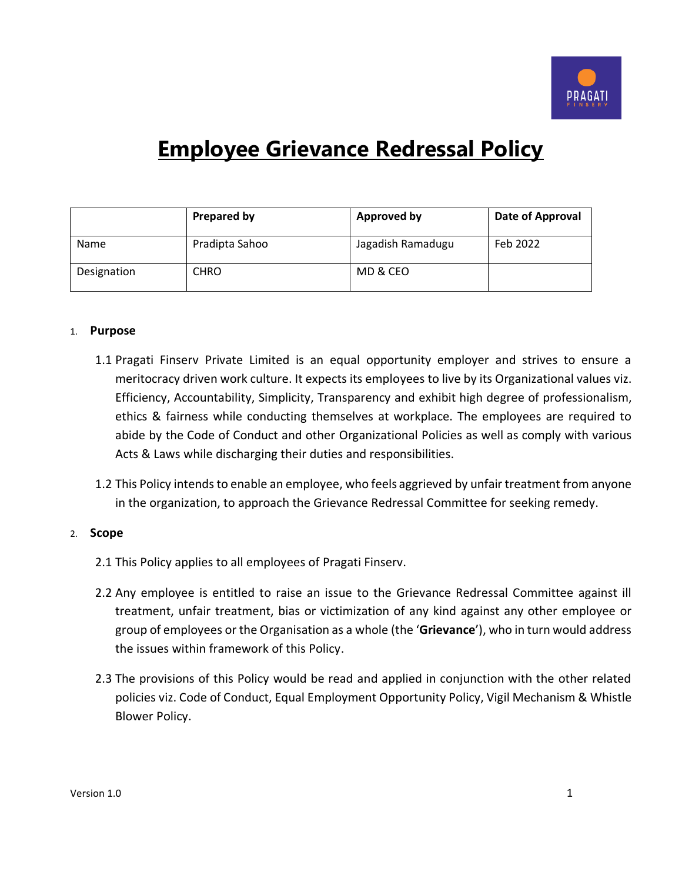

# **Employee Grievance Redressal Policy**

|             | <b>Prepared by</b> | <b>Approved by</b> | Date of Approval |
|-------------|--------------------|--------------------|------------------|
| <b>Name</b> | Pradipta Sahoo     | Jagadish Ramadugu  | Feb 2022         |
| Designation | <b>CHRO</b>        | MD & CEO           |                  |

#### 1. **Purpose**

- 1.1 Pragati Finserv Private Limited is an equal opportunity employer and strives to ensure a meritocracy driven work culture. It expects its employees to live by its Organizational values viz. Efficiency, Accountability, Simplicity, Transparency and exhibit high degree of professionalism, ethics & fairness while conducting themselves at workplace. The employees are required to abide by the Code of Conduct and other Organizational Policies as well as comply with various Acts & Laws while discharging their duties and responsibilities.
- 1.2 This Policy intends to enable an employee, who feels aggrieved by unfair treatment from anyone in the organization, to approach the Grievance Redressal Committee for seeking remedy.

#### 2. **Scope**

- 2.1 This Policy applies to all employees of Pragati Finserv.
- 2.2 Any employee is entitled to raise an issue to the Grievance Redressal Committee against ill treatment, unfair treatment, bias or victimization of any kind against any other employee or group of employees or the Organisation as a whole (the '**Grievance**'), who in turn would address the issues within framework of this Policy.
- 2.3 The provisions of this Policy would be read and applied in conjunction with the other related policies viz. Code of Conduct, Equal Employment Opportunity Policy, Vigil Mechanism & Whistle Blower Policy.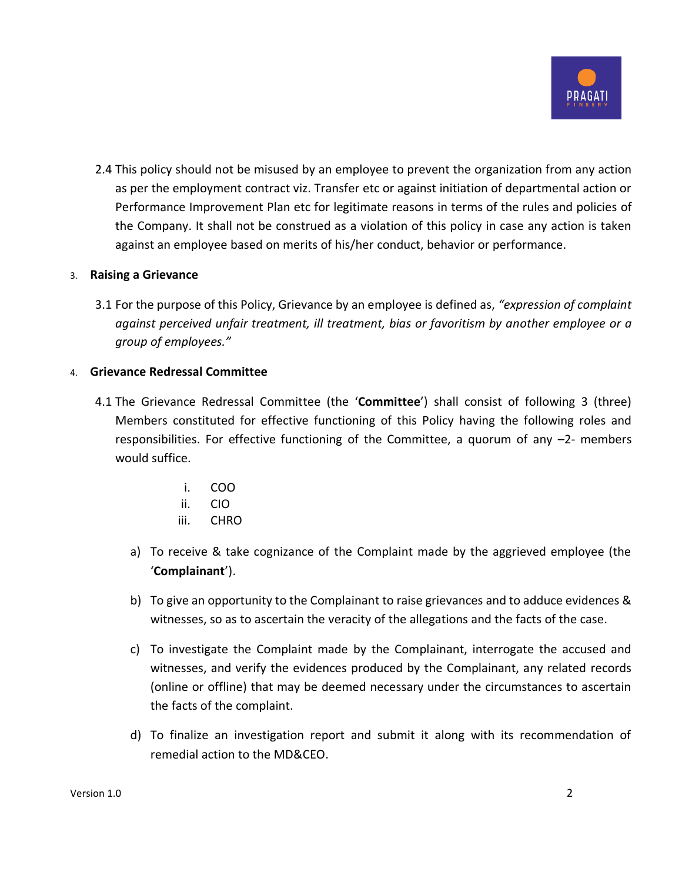

2.4 This policy should not be misused by an employee to prevent the organization from any action as per the employment contract viz. Transfer etc or against initiation of departmental action or Performance Improvement Plan etc for legitimate reasons in terms of the rules and policies of the Company. It shall not be construed as a violation of this policy in case any action is taken against an employee based on merits of his/her conduct, behavior or performance.

### 3. **Raising a Grievance**

3.1 For the purpose of this Policy, Grievance by an employee is defined as, *"expression of complaint against perceived unfair treatment, ill treatment, bias or favoritism by another employee or a group of employees."*

### 4. **Grievance Redressal Committee**

- 4.1 The Grievance Redressal Committee (the '**Committee**') shall consist of following 3 (three) Members constituted for effective functioning of this Policy having the following roles and responsibilities. For effective functioning of the Committee, a quorum of any –2- members would suffice.
	- i. COO
	- ii. CIO
	- iii. CHRO
	- a) To receive & take cognizance of the Complaint made by the aggrieved employee (the '**Complainant**').
	- b) To give an opportunity to the Complainant to raise grievances and to adduce evidences & witnesses, so as to ascertain the veracity of the allegations and the facts of the case.
	- c) To investigate the Complaint made by the Complainant, interrogate the accused and witnesses, and verify the evidences produced by the Complainant, any related records (online or offline) that may be deemed necessary under the circumstances to ascertain the facts of the complaint.
	- d) To finalize an investigation report and submit it along with its recommendation of remedial action to the MD&CEO.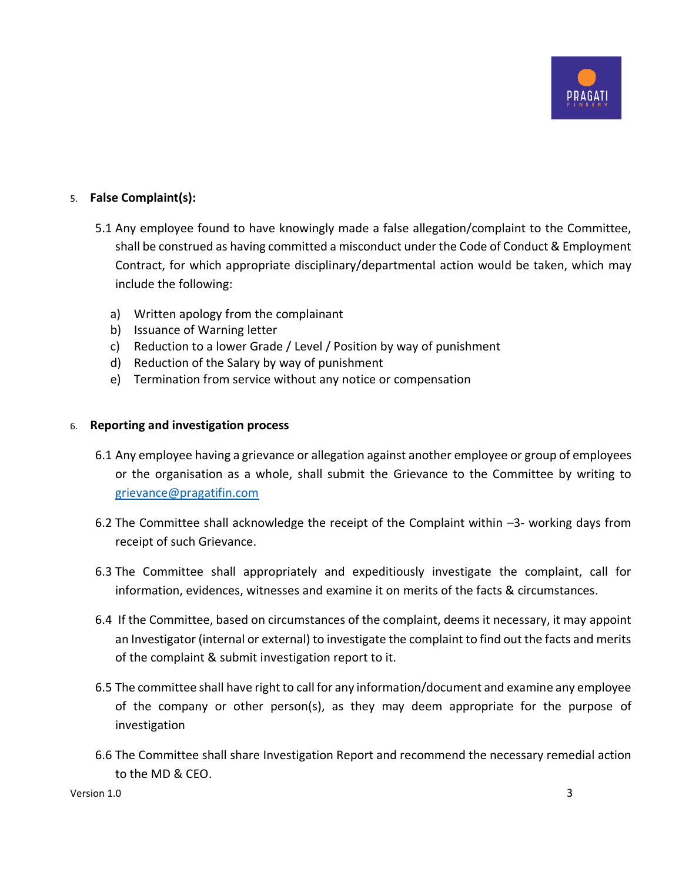

### 5. **False Complaint(s):**

- 5.1 Any employee found to have knowingly made a false allegation/complaint to the Committee, shall be construed as having committed a misconduct under the Code of Conduct & Employment Contract, for which appropriate disciplinary/departmental action would be taken, which may include the following:
	- a) Written apology from the complainant
	- b) Issuance of Warning letter
	- c) Reduction to a lower Grade / Level / Position by way of punishment
	- d) Reduction of the Salary by way of punishment
	- e) Termination from service without any notice or compensation

### 6. **Reporting and investigation process**

- 6.1 Any employee having a grievance or allegation against another employee or group of employees or the organisation as a whole, shall submit the Grievance to the Committee by writing to [grievance@pragatifin.com](mailto:grievance@pragatifin.com)
- 6.2 The Committee shall acknowledge the receipt of the Complaint within –3- working days from receipt of such Grievance.
- 6.3 The Committee shall appropriately and expeditiously investigate the complaint, call for information, evidences, witnesses and examine it on merits of the facts & circumstances.
- 6.4 If the Committee, based on circumstances of the complaint, deems it necessary, it may appoint an Investigator (internal or external) to investigate the complaint to find out the facts and merits of the complaint & submit investigation report to it.
- 6.5 The committee shall have right to call for any information/document and examine any employee of the company or other person(s), as they may deem appropriate for the purpose of investigation
- 6.6 The Committee shall share Investigation Report and recommend the necessary remedial action to the MD & CEO.